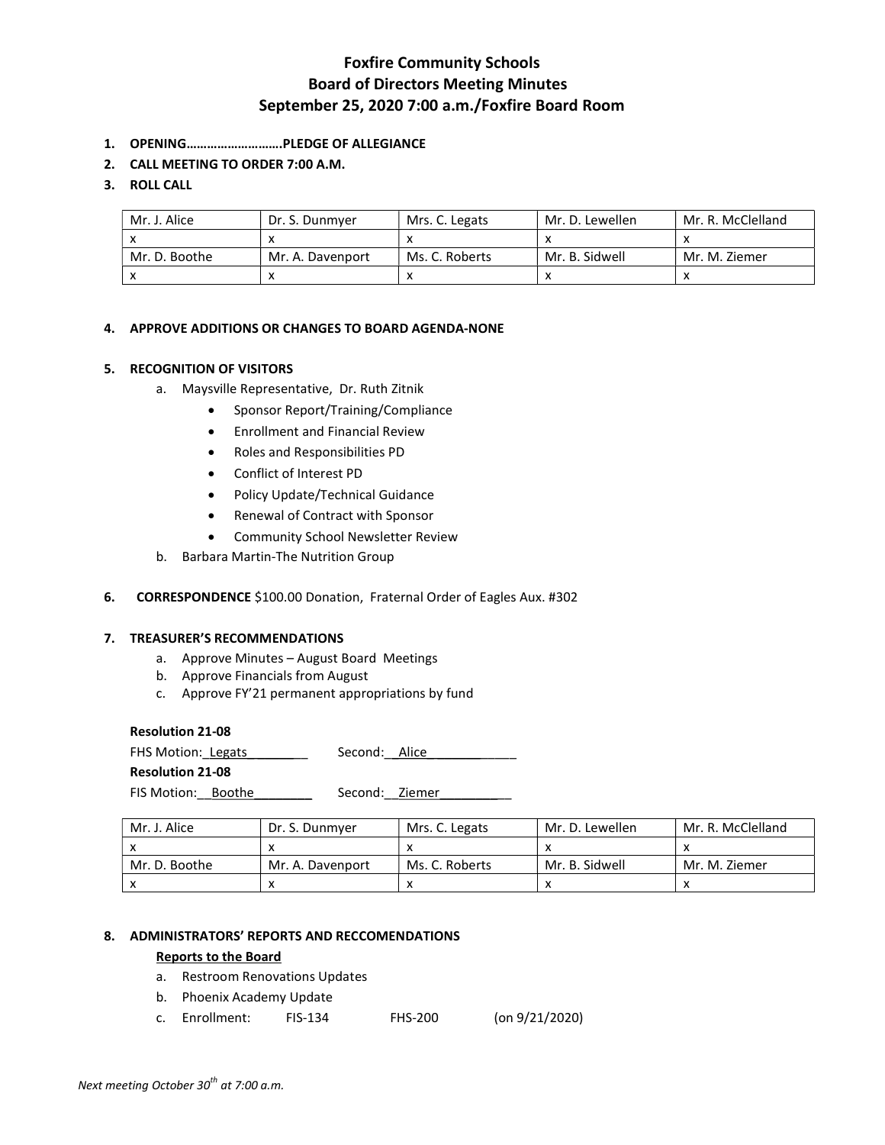# Foxfire Community Schools Board of Directors Meeting Minutes September 25, 2020 7:00 a.m./Foxfire Board Room

- 1. OPENING……………………….PLEDGE OF ALLEGIANCE
- 2. CALL MEETING TO ORDER 7:00 A.M.

## 3. ROLL CALL

| Mr. J. Alice  | Dr. S. Dunmyer   | Mrs. C. Legats | Mr. D. Lewellen | Mr. R. McClelland |
|---------------|------------------|----------------|-----------------|-------------------|
|               |                  |                |                 |                   |
| Mr. D. Boothe | Mr. A. Davenport | Ms. C. Roberts | Mr. B. Sidwell  | Mr. M. Ziemer     |
|               |                  |                |                 |                   |

## 4. APPROVE ADDITIONS OR CHANGES TO BOARD AGENDA-NONE

## 5. RECOGNITION OF VISITORS

- a. Maysville Representative, Dr. Ruth Zitnik
	- Sponsor Report/Training/Compliance
	- Enrollment and Financial Review
	- Roles and Responsibilities PD
	- Conflict of Interest PD
	- Policy Update/Technical Guidance
	- Renewal of Contract with Sponsor
	- Community School Newsletter Review
- b. Barbara Martin-The Nutrition Group

## 6. CORRESPONDENCE \$100.00 Donation, Fraternal Order of Eagles Aux. #302

### 7. TREASURER'S RECOMMENDATIONS

- a. Approve Minutes August Board Meetings
- b. Approve Financials from August
- c. Approve FY'21 permanent appropriations by fund

### Resolution 21-08

FHS Motion: Legats \_\_\_\_\_\_\_\_ Second: \_Alice\_ Resolution 21-08 FIS Motion: Boothe \_\_\_\_\_\_\_\_ Second: Ziemer

| Mr. J. Alice  | Dr. S. Dunmver   | Mrs. C. Legats | Mr. D. Lewellen | Mr. R. McClelland |
|---------------|------------------|----------------|-----------------|-------------------|
|               |                  |                |                 |                   |
| Mr. D. Boothe | Mr. A. Davenport | Ms. C. Roberts | Mr. B. Sidwell  | Mr. M. Ziemer     |
|               |                  |                |                 |                   |

#### 8. ADMINISTRATORS' REPORTS AND RECCOMENDATIONS

## Reports to the Board

- a. Restroom Renovations Updates
- b. Phoenix Academy Update
- c. Enrollment: FIS-134 FHS-200 (on 9/21/2020)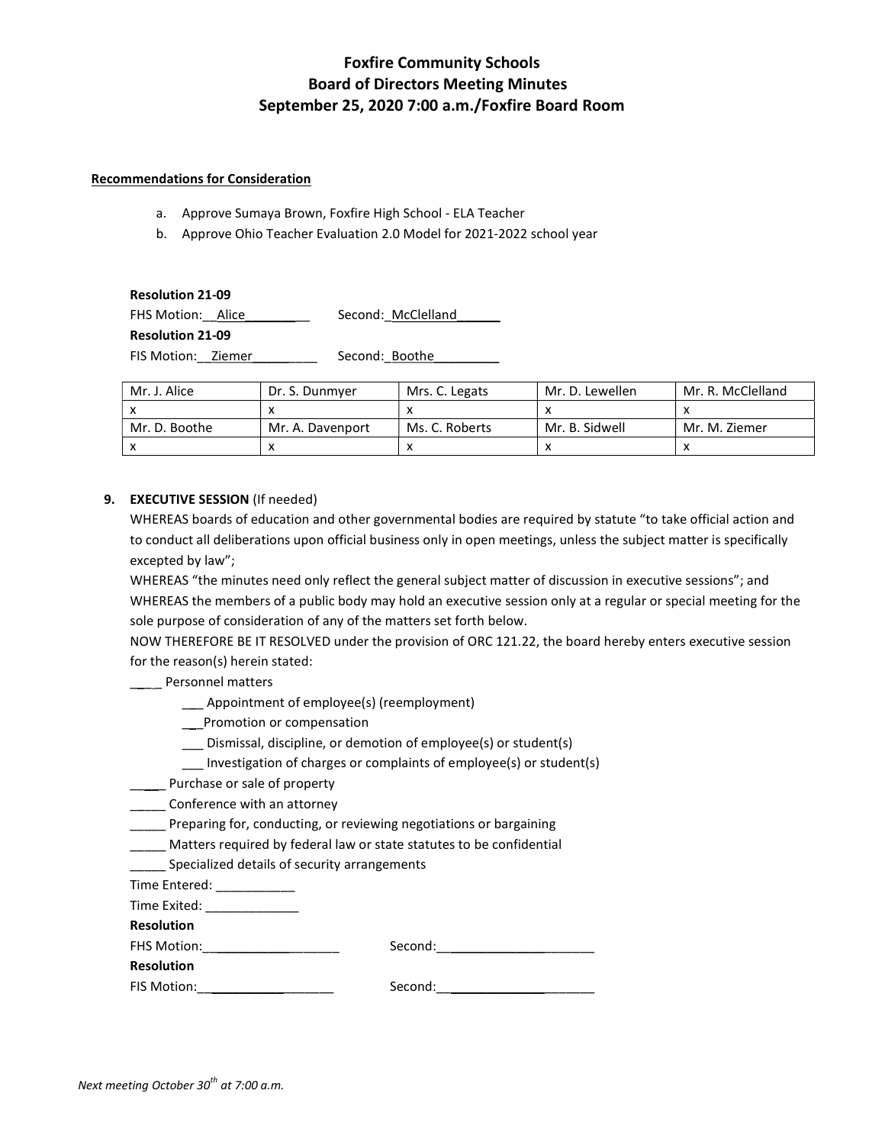# Foxfire Community Schools Board of Directors Meeting Minutes September 25, 2020 7:00 a.m./Foxfire Board Room

### Recommendations for Consideration

- a. Approve Sumaya Brown, Foxfire High School ELA Teacher
- b. Approve Ohio Teacher Evaluation 2.0 Model for 2021-2022 school year

| <b>Resolution 21-09</b> |                    |  |  |  |
|-------------------------|--------------------|--|--|--|
| FHS Motion: Alice       | Second: McClelland |  |  |  |
| <b>Resolution 21-09</b> |                    |  |  |  |
| FIS Motion: Ziemer      | Second: Boothe     |  |  |  |

| Mr. J. Alice  | Dr. S. Dunmver   | Mrs. C. Legats | Mr. D. Lewellen | Mr. R. McClelland |
|---------------|------------------|----------------|-----------------|-------------------|
|               |                  |                |                 |                   |
| Mr. D. Boothe | Mr. A. Davenport | Ms. C. Roberts | Mr. B. Sidwell  | Mr. M. Ziemer     |
|               | $\mathbf{v}$     |                |                 |                   |

## 9. EXECUTIVE SESSION (If needed)

WHEREAS boards of education and other governmental bodies are required by statute "to take official action and to conduct all deliberations upon official business only in open meetings, unless the subject matter is specifically excepted by law";

WHEREAS "the minutes need only reflect the general subject matter of discussion in executive sessions"; and WHEREAS the members of a public body may hold an executive session only at a regular or special meeting for the sole purpose of consideration of any of the matters set forth below.

NOW THEREFORE BE IT RESOLVED under the provision of ORC 121.22, the board hereby enters executive session for the reason(s) herein stated:

## \_\_\_ \_ Personnel matters

- \_\_\_ Appointment of employee(s) (reemployment)
- \_\_\_Promotion or compensation
- \_\_\_ Dismissal, discipline, or demotion of employee(s) or student(s)
- \_\_\_ Investigation of charges or complaints of employee(s) or student(s)
- **\_\_\_\_** Purchase or sale of property
- **\_\_\_\_\_** Conference with an attorney
- \_\_\_\_\_ Preparing for, conducting, or reviewing negotiations or bargaining
- \_\_\_\_\_ Matters required by federal law or state statutes to be confidential
- \_\_\_\_\_ Specialized details of security arrangements
- Time Entered: \_\_\_\_\_\_\_\_\_\_\_
- Time Exited: \_\_\_\_\_\_\_\_\_\_\_\_\_

Resolution FHS Motion:

**Resolution** 

| Second: |  |
|---------|--|
|---------|--|

| FIS Motion: | Second: |
|-------------|---------|